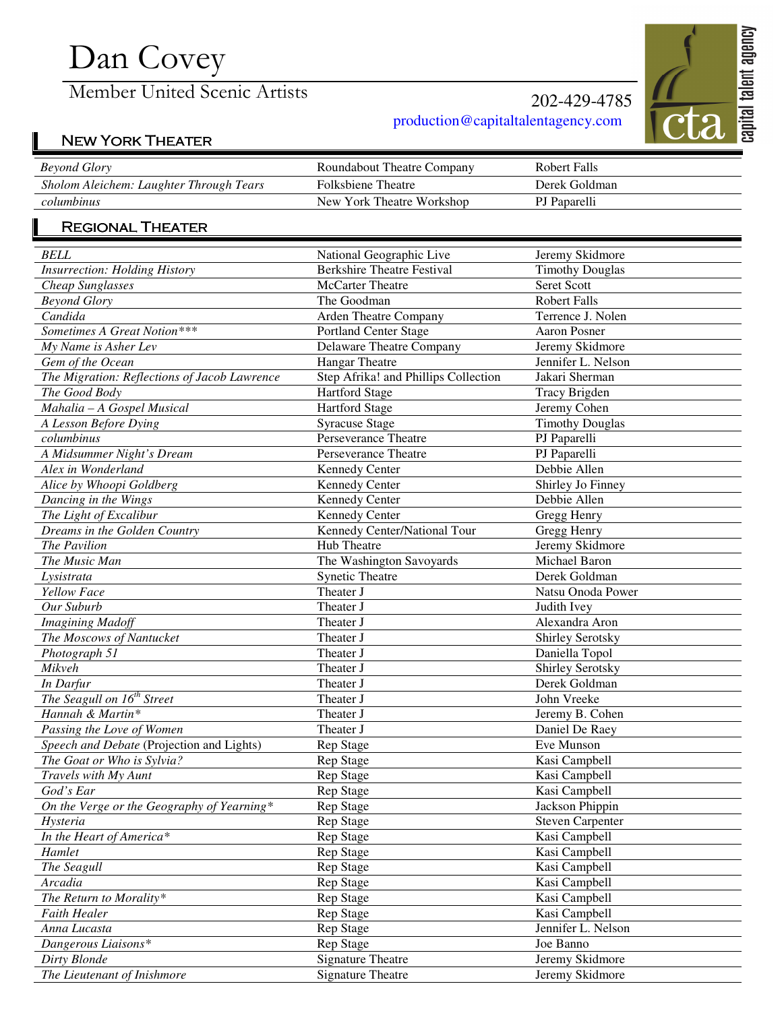# Dan Covey

Member United Scenic Artists

### 202-429-4785 production@capitaltalentagency.com



## NEW YORK THEATER

| <b>Beyond Glory</b>                     | Roundabout Theatre Company | Robert Falls  |
|-----------------------------------------|----------------------------|---------------|
| Sholom Aleichem: Laughter Through Tears | <b>Folksbiene Theatre</b>  | Derek Goldman |
| columbinus                              | New York Theatre Workshop  | PJ Paparelli  |

#### REGIONAL THEATER

| <b>BELL</b>                                  | National Geographic Live             | Jeremy Skidmore         |
|----------------------------------------------|--------------------------------------|-------------------------|
| <b>Insurrection: Holding History</b>         | <b>Berkshire Theatre Festival</b>    | <b>Timothy Douglas</b>  |
| Cheap Sunglasses                             | McCarter Theatre                     | Seret Scott             |
| <b>Beyond Glory</b>                          | The Goodman                          | <b>Robert Falls</b>     |
| Candida                                      | Arden Theatre Company                | Terrence J. Nolen       |
| Sometimes A Great Notion***                  | <b>Portland Center Stage</b>         | <b>Aaron Posner</b>     |
| My Name is Asher Lev                         | <b>Delaware Theatre Company</b>      | Jeremy Skidmore         |
| Gem of the Ocean                             | <b>Hangar Theatre</b>                | Jennifer L. Nelson      |
| The Migration: Reflections of Jacob Lawrence | Step Afrika! and Phillips Collection | Jakari Sherman          |
| The Good Body                                | <b>Hartford Stage</b>                | <b>Tracy Brigden</b>    |
| Mahalia - A Gospel Musical                   | Hartford Stage                       | Jeremy Cohen            |
| A Lesson Before Dying                        | <b>Syracuse Stage</b>                | <b>Timothy Douglas</b>  |
| columbinus                                   | Perseverance Theatre                 | PJ Paparelli            |
| A Midsummer Night's Dream                    | Perseverance Theatre                 | PJ Paparelli            |
| Alex in Wonderland                           | Kennedy Center                       | Debbie Allen            |
| Alice by Whoopi Goldberg                     | Kennedy Center                       | Shirley Jo Finney       |
| Dancing in the Wings                         | <b>Kennedy Center</b>                | Debbie Allen            |
| The Light of Excalibur                       | Kennedy Center                       | Gregg Henry             |
| Dreams in the Golden Country                 | Kennedy Center/National Tour         | Gregg Henry             |
| The Pavilion                                 | Hub Theatre                          | Jeremy Skidmore         |
| The Music Man                                | The Washington Savoyards             | Michael Baron           |
| Lysistrata                                   | <b>Synetic Theatre</b>               | Derek Goldman           |
| <b>Yellow Face</b>                           | Theater J                            | Natsu Onoda Power       |
| Our Suburb                                   | Theater J                            | Judith Ivey             |
| <b>Imagining Madoff</b>                      | Theater J                            | Alexandra Aron          |
| The Moscows of Nantucket                     | Theater J                            | Shirley Serotsky        |
| Photograph 51                                | Theater J                            | Daniella Topol          |
| Mikveh                                       | Theater J                            | Shirley Serotsky        |
| In Darfur                                    | Theater J                            | Derek Goldman           |
| The Seagull on 16 <sup>th</sup> Street       | Theater J                            | John Vreeke             |
| Hannah & Martin*                             | Theater J                            | Jeremy B. Cohen         |
| Passing the Love of Women                    | Theater J                            | Daniel De Raey          |
| Speech and Debate (Projection and Lights)    | Rep Stage                            | Eve Munson              |
| The Goat or Who is Sylvia?                   | Rep Stage                            | Kasi Campbell           |
| Travels with My Aunt                         | Rep Stage                            | Kasi Campbell           |
| God's Ear                                    | Rep Stage                            | Kasi Campbell           |
| On the Verge or the Geography of Yearning*   | <b>Rep Stage</b>                     | Jackson Phippin         |
| Hysteria                                     | Rep Stage                            | <b>Steven Carpenter</b> |
| In the Heart of America*                     | Rep Stage                            | Kasi Campbell           |
| Hamlet                                       | Rep Stage                            | Kasi Campbell           |
| The Seagull                                  | Rep Stage                            | Kasi Campbell           |
| Arcadia                                      | Rep Stage                            | Kasi Campbell           |
| The Return to Morality*                      | Rep Stage                            | Kasi Campbell           |
| <b>Faith Healer</b>                          | Rep Stage                            | Kasi Campbell           |
| Anna Lucasta                                 | Rep Stage                            | Jennifer L. Nelson      |
| Dangerous Liaisons*                          | Rep Stage                            | Joe Banno               |
| Dirty Blonde                                 | <b>Signature Theatre</b>             | Jeremy Skidmore         |
| The Lieutenant of Inishmore                  | <b>Signature Theatre</b>             | Jeremy Skidmore         |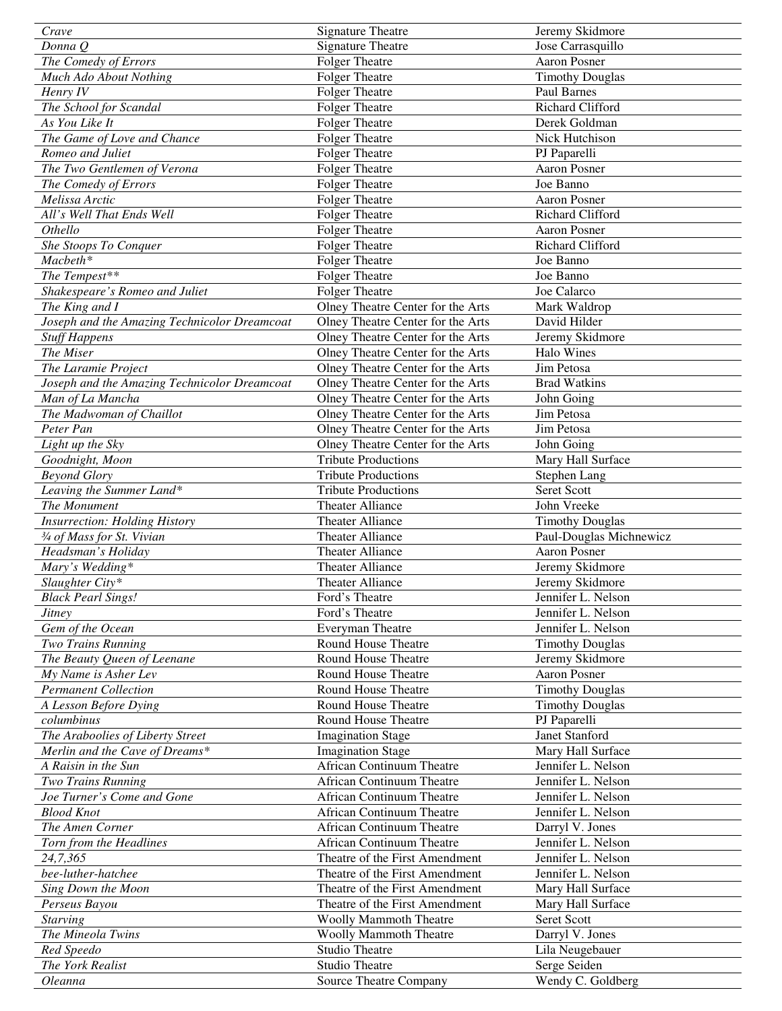| Crave                                        | <b>Signature Theatre</b>          | Jeremy Skidmore              |
|----------------------------------------------|-----------------------------------|------------------------------|
| Donna Q                                      | <b>Signature Theatre</b>          | Jose Carrasquillo            |
| The Comedy of Errors                         | <b>Folger Theatre</b>             | Aaron Posner                 |
| Much Ado About Nothing                       | <b>Folger Theatre</b>             | <b>Timothy Douglas</b>       |
| Henry IV                                     | <b>Folger Theatre</b>             | Paul Barnes                  |
| The School for Scandal                       | <b>Folger Theatre</b>             | Richard Clifford             |
| As You Like It                               | <b>Folger Theatre</b>             | Derek Goldman                |
| The Game of Love and Chance                  | <b>Folger Theatre</b>             | Nick Hutchison               |
| Romeo and Juliet                             | <b>Folger Theatre</b>             | PJ Paparelli                 |
| The Two Gentlemen of Verona                  | <b>Folger Theatre</b>             | Aaron Posner                 |
| The Comedy of Errors                         | <b>Folger Theatre</b>             | Joe Banno                    |
| Melissa Arctic                               | <b>Folger Theatre</b>             | <b>Aaron Posner</b>          |
| All's Well That Ends Well                    | <b>Folger Theatre</b>             | Richard Clifford             |
| Othello                                      | <b>Folger Theatre</b>             | <b>Aaron Posner</b>          |
| She Stoops To Conquer                        | <b>Folger Theatre</b>             | Richard Clifford             |
| Macbeth*                                     | <b>Folger Theatre</b>             | Joe Banno                    |
| The Tempest**                                | <b>Folger Theatre</b>             | Joe Banno                    |
| Shakespeare's Romeo and Juliet               | <b>Folger Theatre</b>             | Joe Calarco                  |
|                                              |                                   |                              |
| The King and I                               | Olney Theatre Center for the Arts | Mark Waldrop<br>David Hilder |
| Joseph and the Amazing Technicolor Dreamcoat | Olney Theatre Center for the Arts |                              |
| <b>Stuff Happens</b>                         | Olney Theatre Center for the Arts | Jeremy Skidmore              |
| The Miser                                    | Olney Theatre Center for the Arts | Halo Wines                   |
| The Laramie Project                          | Olney Theatre Center for the Arts | Jim Petosa                   |
| Joseph and the Amazing Technicolor Dreamcoat | Olney Theatre Center for the Arts | <b>Brad Watkins</b>          |
| Man of La Mancha                             | Olney Theatre Center for the Arts | John Going                   |
| The Madwoman of Chaillot                     | Olney Theatre Center for the Arts | Jim Petosa                   |
| Peter Pan                                    | Olney Theatre Center for the Arts | Jim Petosa                   |
| Light up the Sky                             | Olney Theatre Center for the Arts | John Going                   |
| Goodnight, Moon                              | <b>Tribute Productions</b>        | Mary Hall Surface            |
| <b>Beyond Glory</b>                          | <b>Tribute Productions</b>        | Stephen Lang                 |
| Leaving the Summer Land*                     | <b>Tribute Productions</b>        | Seret Scott                  |
| The Monument                                 | Theater Alliance                  | John Vreeke                  |
| <b>Insurrection: Holding History</b>         | Theater Alliance                  | <b>Timothy Douglas</b>       |
| $\frac{3}{4}$ of Mass for St. Vivian         | Theater Alliance                  | Paul-Douglas Michnewicz      |
| Headsman's Holiday                           | Theater Alliance                  | <b>Aaron Posner</b>          |
| Mary's Wedding*                              | Theater Alliance                  | Jeremy Skidmore              |
| Slaughter City*                              | Theater Alliance                  | Jeremy Skidmore              |
| <b>Black Pearl Sings!</b>                    | Ford's Theatre                    | Jennifer L. Nelson           |
| <i>Jitney</i>                                | Ford's Theatre                    | Jennifer L. Nelson           |
| Gem of the Ocean                             | Everyman Theatre                  | Jennifer L. Nelson           |
| Two Trains Running                           | <b>Round House Theatre</b>        | <b>Timothy Douglas</b>       |
| The Beauty Queen of Leenane                  | Round House Theatre               | Jeremy Skidmore              |
| My Name is Asher Lev                         | Round House Theatre               | <b>Aaron Posner</b>          |
| <b>Permanent Collection</b>                  | Round House Theatre               | <b>Timothy Douglas</b>       |
| A Lesson Before Dying                        | Round House Theatre               | <b>Timothy Douglas</b>       |
| columbinus                                   | Round House Theatre               | PJ Paparelli                 |
| The Araboolies of Liberty Street             | <b>Imagination Stage</b>          | Janet Stanford               |
| Merlin and the Cave of Dreams*               | <b>Imagination Stage</b>          | Mary Hall Surface            |
| A Raisin in the Sun                          | African Continuum Theatre         | Jennifer L. Nelson           |
| Two Trains Running                           | <b>African Continuum Theatre</b>  | Jennifer L. Nelson           |
| Joe Turner's Come and Gone                   | <b>African Continuum Theatre</b>  | Jennifer L. Nelson           |
| <b>Blood Knot</b>                            | <b>African Continuum Theatre</b>  | Jennifer L. Nelson           |
| The Amen Corner                              | African Continuum Theatre         | Darryl V. Jones              |
| Torn from the Headlines                      | African Continuum Theatre         | Jennifer L. Nelson           |
| 24,7,365                                     | Theatre of the First Amendment    | Jennifer L. Nelson           |
| bee-luther-hatchee                           | Theatre of the First Amendment    | Jennifer L. Nelson           |
| Sing Down the Moon                           | Theatre of the First Amendment    | Mary Hall Surface            |
| Perseus Bayou                                | Theatre of the First Amendment    | Mary Hall Surface            |
| <b>Starving</b>                              | <b>Woolly Mammoth Theatre</b>     | Seret Scott                  |
| The Mineola Twins                            | <b>Woolly Mammoth Theatre</b>     | Darryl V. Jones              |
| Red Speedo                                   | <b>Studio Theatre</b>             | Lila Neugebauer              |
| The York Realist                             | <b>Studio Theatre</b>             | Serge Seiden                 |
| Oleanna                                      | Source Theatre Company            | Wendy C. Goldberg            |
|                                              |                                   |                              |